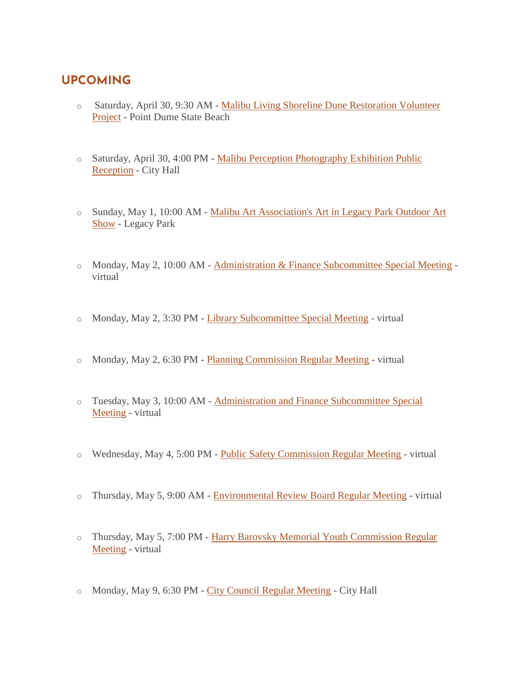## **UPCOMING**

- o Saturday, April 30, 9:30 AM [Malibu Living Shoreline Dune Restoration Volunteer](https://www.malibucity.org/Calendar.aspx?EID=6619&month=4&year=2022&day=30&calType=0)  [Project](https://www.malibucity.org/Calendar.aspx?EID=6619&month=4&year=2022&day=30&calType=0) - Point Dume State Beach
- o Saturday, April 30, 4:00 PM [Malibu Perception Photography Exhibition Public](https://www.malibucity.org/Calendar.aspx?EID=6645&month=4&year=2022&day=30&calType=0)  [Reception](https://www.malibucity.org/Calendar.aspx?EID=6645&month=4&year=2022&day=30&calType=0) - City Hall
- o Sunday, May 1, 10:00 AM [Malibu Art Association's Art in Legacy Park Outdoor Art](https://malibuartassociation.com/)  [Show](https://malibuartassociation.com/) - Legacy Park
- o Monday, May 2, 10:00 AM [Administration & Finance Subcommittee Special Meeting](https://www.malibucity.org/Calendar.aspx?EID=6672&month=5&year=2022&day=2&calType=0) virtual
- o Monday, May 2, 3:30 PM [Library Subcommittee Special Meeting](https://www.malibucity.org/Calendar.aspx?EID=6674&month=5&year=2022&day=2&calType=0) virtual
- o Monday, May 2, 6:30 PM [Planning Commission Regular Meeting](https://www.malibucity.org/Calendar.aspx?EID=6670&month=5&year=2022&day=2&calType=0) virtual
- o Tuesday, May 3, 10:00 AM [Administration and Finance Subcommittee Special](https://malibucity.primegov.com/Portal/Meeting?compiledMeetingDocumentFileId=2687)  [Meeting](https://malibucity.primegov.com/Portal/Meeting?compiledMeetingDocumentFileId=2687) - virtual
- o Wednesday, May 4, 5:00 PM [Public Safety Commission Regular Meeting](https://www.malibucity.org/Calendar.aspx?EID=6242&month=5&year=2022&day=4&calType=0) virtual
- o Thursday, May 5, 9:00 AM [Environmental Review Board Regular Meeting](https://www.malibucity.org/Calendar.aspx?EID=6673&month=5&year=2022&day=5&calType=0) virtual
- o Thursday, May 5, 7:00 PM [Harry Barovsky Memorial Youth Commission Regular](https://www.malibucity.org/Calendar.aspx?EID=5861&month=5&year=2022&day=5&calType=0)  [Meeting](https://www.malibucity.org/Calendar.aspx?EID=5861&month=5&year=2022&day=5&calType=0) - virtual
- o Monday, May 9, 6:30 PM [City Council Regular Meeting](https://www.malibucity.org/Calendar.aspx?EID=6310&month=5&year=2022&day=9&calType=0) City Hall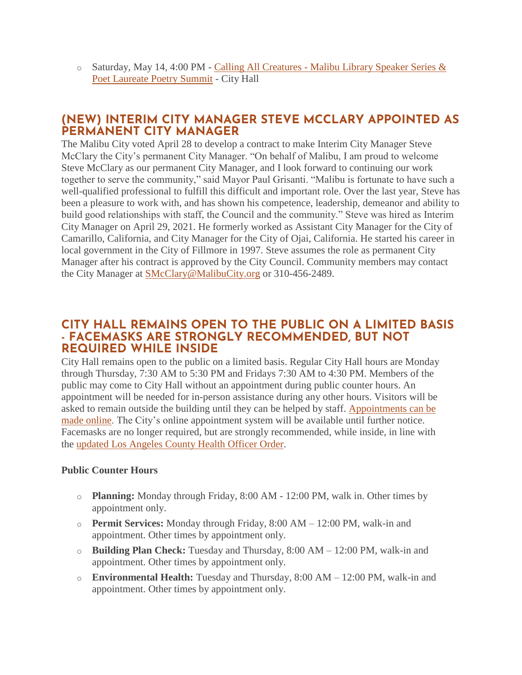o Saturday, May 14, 4:00 PM - Calling All Creatures - [Malibu Library Speaker Series &](https://www.malibucity.org/Calendar.aspx?EID=6610&month=5&year=2022&day=14&calType=0)  [Poet Laureate Poetry Summit](https://www.malibucity.org/Calendar.aspx?EID=6610&month=5&year=2022&day=14&calType=0) - City Hall

### **(NEW) INTERIM CITY MANAGER STEVE MCCLARY APPOINTED AS PERMANENT CITY MANAGER**

The Malibu City voted April 28 to develop a contract to make Interim City Manager Steve McClary the City's permanent City Manager. "On behalf of Malibu, I am proud to welcome Steve McClary as our permanent City Manager, and I look forward to continuing our work together to serve the community," said Mayor Paul Grisanti. "Malibu is fortunate to have such a well-qualified professional to fulfill this difficult and important role. Over the last year, Steve has been a pleasure to work with, and has shown his competence, leadership, demeanor and ability to build good relationships with staff, the Council and the community." Steve was hired as Interim City Manager on April 29, 2021. He formerly worked as Assistant City Manager for the City of Camarillo, California, and City Manager for the City of Ojai, California. He started his career in local government in the City of Fillmore in 1997. Steve assumes the role as permanent City Manager after his contract is approved by the City Council. Community members may contact the City Manager at [SMcClary@MalibuCity.org](mailto:SMcClary@MalibuCity.org) or 310-456-2489.

#### **CITY HALL REMAINS OPEN TO THE PUBLIC ON A LIMITED BASIS - FACEMASKS ARE STRONGLY RECOMMENDED, BUT NOT REQUIRED WHILE INSIDE**

City Hall remains open to the public on a limited basis. Regular City Hall hours are Monday through Thursday, 7:30 AM to 5:30 PM and Fridays 7:30 AM to 4:30 PM. Members of the public may come to City Hall without an appointment during public counter hours. An appointment will be needed for in-person assistance during any other hours. Visitors will be asked to remain outside the building until they can be helped by staff. [Appointments can be](http://www.malibucity.org/appointments)  [made online.](http://www.malibucity.org/appointments) The City's online appointment system will be available until further notice. Facemasks are no longer required, but are strongly recommended, while inside, in line with the [updated Los Angeles County Health Officer Order.](http://publichealth.lacounty.gov/media/Coronavirus/docs/HOO/HOO_SaferReturnWorkCommunity.pdf)

#### **Public Counter Hours**

- o **Planning:** Monday through Friday, 8:00 AM 12:00 PM, walk in. Other times by appointment only.
- o **Permit Services:** Monday through Friday, 8:00 AM 12:00 PM, walk-in and appointment. Other times by appointment only.
- o **Building Plan Check:** Tuesday and Thursday, 8:00 AM 12:00 PM, walk-in and appointment. Other times by appointment only.
- o **Environmental Health:** Tuesday and Thursday, 8:00 AM 12:00 PM, walk-in and appointment. Other times by appointment only.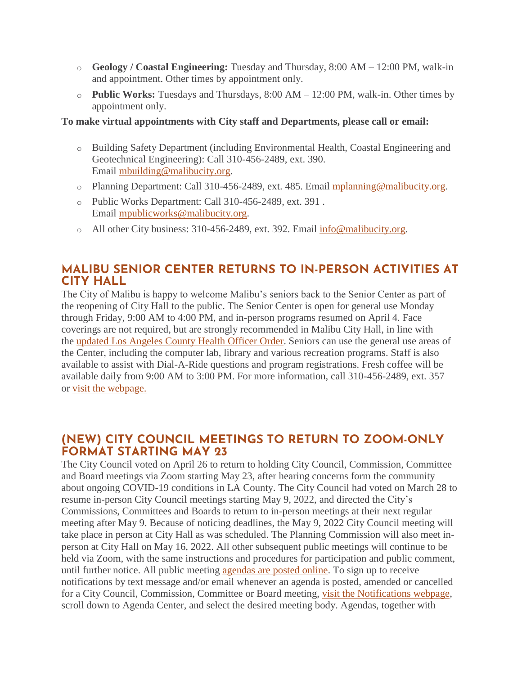- o **Geology / Coastal Engineering:** Tuesday and Thursday, 8:00 AM 12:00 PM, walk-in and appointment. Other times by appointment only.
- o **Public Works:** Tuesdays and Thursdays, 8:00 AM 12:00 PM, walk-in. Other times by appointment only.

#### **To make virtual appointments with City staff and Departments, please call or email:**

- o Building Safety Department (including Environmental Health, Coastal Engineering and Geotechnical Engineering): Call 310-456-2489, ext. 390. Email [mbuilding@malibucity.org.](mailto:mbuilding@malibucity.org)
- o Planning Department: Call 310-456-2489, ext. 485. Email [mplanning@malibucity.org.](mailto:mplanning@malibucity.org)
- o Public Works Department: Call 310-456-2489, ext. 391 . Email [mpublicworks@malibucity.org.](mailto:mpublicworks@malibucity.org)
- o All other City business: 310-456-2489, ext. 392. Email [info@malibucity.org.](mailto:info@malibucity.org)

## **MALIBU SENIOR CENTER RETURNS TO IN-PERSON ACTIVITIES AT CITY HALL**

The City of Malibu is happy to welcome Malibu's seniors back to the Senior Center as part of the reopening of City Hall to the public. The Senior Center is open for general use Monday through Friday, 9:00 AM to 4:00 PM, and in-person programs resumed on April 4. Face coverings are not required, but are strongly recommended in Malibu City Hall, in line with the [updated Los Angeles County Health Officer Order.](http://publichealth.lacounty.gov/media/Coronavirus/docs/HOO/HOO_SaferReturnWorkCommunity.pdf) Seniors can use the general use areas of the Center, including the computer lab, library and various recreation programs. Staff is also available to assist with Dial-A-Ride questions and program registrations. Fresh coffee will be available daily from 9:00 AM to 3:00 PM. For more information, call 310-456-2489, ext. 357 or [visit the webpage.](https://www.malibucity.org/seniorcenter)

## **(NEW) CITY COUNCIL MEETINGS TO RETURN TO ZOOM-ONLY FORMAT STARTING MAY 23**

The City Council voted on April 26 to return to holding City Council, Commission, Committee and Board meetings via Zoom starting May 23, after hearing concerns form the community about ongoing COVID-19 conditions in LA County. The City Council had voted on March 28 to resume in-person City Council meetings starting May 9, 2022, and directed the City's Commissions, Committees and Boards to return to in-person meetings at their next regular meeting after May 9. Because of noticing deadlines, the May 9, 2022 City Council meeting will take place in person at City Hall as was scheduled. The Planning Commission will also meet inperson at City Hall on May 16, 2022. All other subsequent public meetings will continue to be held via Zoom, with the same instructions and procedures for participation and public comment, until further notice. All public meeting [agendas are posted online.](http://www.malibucity.org/AgendaCenter) To sign up to receive notifications by text message and/or email whenever an agenda is posted, amended or cancelled for a City Council, Commission, Committee or Board meeting, [visit the Notifications webpage,](http://www.malibucity.org/News) scroll down to Agenda Center, and select the desired meeting body. Agendas, together with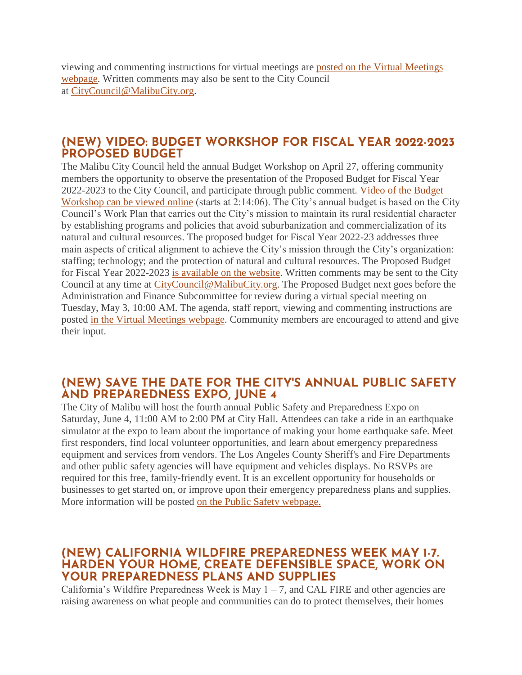viewing and commenting instructions for virtual meetings are [posted on the Virtual Meetings](http://www.malibucity.org/VirtualMeeting)  [webpage.](http://www.malibucity.org/VirtualMeeting) Written comments may also be sent to the City Council at [CityCouncil@MalibuCity.org.](mailto:CityCouncil@MalibuCity.org)

#### **(NEW) VIDEO: BUDGET WORKSHOP FOR FISCAL YEAR 2022-2023 PROPOSED BUDGET**

The Malibu City Council held the annual Budget Workshop on April 27, offering community members the opportunity to observe the presentation of the Proposed Budget for Fiscal Year 2022-2023 to the City Council, and participate through public comment. [Video of the Budget](https://youtu.be/bzS7jBGM-LU?t=8046)  [Workshop can be viewed online](https://youtu.be/bzS7jBGM-LU?t=8046) (starts at 2:14:06). The City's annual budget is based on the City Council's Work Plan that carries out the City's mission to maintain its rural residential character by establishing programs and policies that avoid suburbanization and commercialization of its natural and cultural resources. The proposed budget for Fiscal Year 2022-23 addresses three main aspects of critical alignment to achieve the City's mission through the City's organization: staffing; technology; and the protection of natural and cultural resources. The Proposed Budget for Fiscal Year 2022-2023 [is available on the website.](https://www.malibucity.org/AgendaCenter/ViewFile/Item/5523?fileID=29525) Written comments may be sent to the City Council at any time at [CityCouncil@MalibuCity.org.](mailto:CityCouncil@MalibuCity.org) The Proposed Budget next goes before the Administration and Finance Subcommittee for review during a virtual special meeting on Tuesday, May 3, 10:00 AM. The agenda, staff report, viewing and commenting instructions are posted [in the Virtual Meetings webpage.](https://www.malibucity.org/virtualmeeting) Community members are encouraged to attend and give their input.

### **(NEW) SAVE THE DATE FOR THE CITY'S ANNUAL PUBLIC SAFETY AND PREPAREDNESS EXPO, JUNE 4**

The City of Malibu will host the fourth annual Public Safety and Preparedness Expo on Saturday, June 4, 11:00 AM to 2:00 PM at City Hall. Attendees can take a ride in an earthquake simulator at the expo to learn about the importance of making your home earthquake safe. Meet first responders, find local volunteer opportunities, and learn about emergency preparedness equipment and services from vendors. The Los Angeles County Sheriff's and Fire Departments and other public safety agencies will have equipment and vehicles displays. No RSVPs are required for this free, family-friendly event. It is an excellent opportunity for households or businesses to get started on, or improve upon their emergency preparedness plans and supplies. More information will be posted [on the Public Safety webpage.](https://www.malibucity.org/publicsafety)

#### **(NEW) CALIFORNIA WILDFIRE PREPAREDNESS WEEK MAY 1-7. HARDEN YOUR HOME, CREATE DEFENSIBLE SPACE, WORK ON YOUR PREPAREDNESS PLANS AND SUPPLIES**

California's Wildfire Preparedness Week is May  $1 - 7$ , and CAL FIRE and other agencies are raising awareness on what people and communities can do to protect themselves, their homes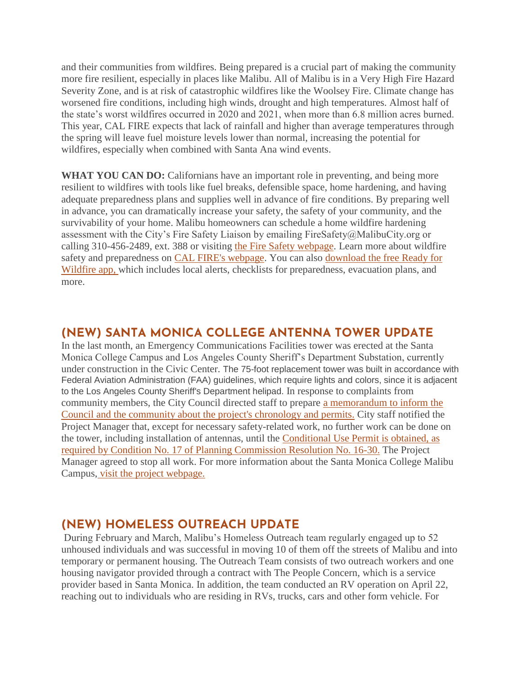and their communities from wildfires. Being prepared is a crucial part of making the community more fire resilient, especially in places like Malibu. All of Malibu is in a Very High Fire Hazard Severity Zone, and is at risk of catastrophic wildfires like the Woolsey Fire. Climate change has worsened fire conditions, including high winds, drought and high temperatures. Almost half of the state's worst wildfires occurred in 2020 and 2021, when more than 6.8 million acres burned. This year, CAL FIRE expects that lack of rainfall and higher than average temperatures through the spring will leave fuel moisture levels lower than normal, increasing the potential for wildfires, especially when combined with Santa Ana wind events.

**WHAT YOU CAN DO:** Californians have an important role in preventing, and being more resilient to wildfires with tools like fuel breaks, defensible space, home hardening, and having adequate preparedness plans and supplies well in advance of fire conditions. By preparing well in advance, you can dramatically increase your safety, the safety of your community, and the survivability of your home. Malibu homeowners can schedule a home wildfire hardening assessment with the City's Fire Safety Liaison by emailing FireSafety@MalibuCity.org or calling 310-456-2489, ext. 388 or visiting [the Fire Safety webpage.](https://www.malibucity.org/firesafety) Learn more about wildfire safety and preparedness on [CAL FIRE's webpage.](http://www.readyforwildfire.org/) You can also [download the free Ready for](https://plan.readyforwildfire.org/)  [Wildfire app,](https://plan.readyforwildfire.org/) which includes local alerts, checklists for preparedness, evacuation plans, and more.

## **(NEW) SANTA MONICA COLLEGE ANTENNA TOWER UPDATE**

In the last month, an Emergency Communications Facilities tower was erected at the Santa Monica College Campus and Los Angeles County Sheriff's Department Substation, currently under construction in the Civic Center. The 75-foot replacement tower was built in accordance with Federal Aviation Administration (FAA) guidelines, which require lights and colors, since it is adjacent to the Los Angeles County Sheriff's Department helipad. In response to complaints from community members, the City Council directed staff to prepare [a memorandum to inform the](https://malibucity.org/DocumentCenter/View/29733/County-Tower_Sheriff-Substation)  [Council and the community about the project's chronology and permits.](https://malibucity.org/DocumentCenter/View/29733/County-Tower_Sheriff-Substation) City staff notified the Project Manager that, except for necessary safety-related work, no further work can be done on the tower, including installation of antennas, until the [Conditional Use Permit is obtained, as](https://malibucity.org/DocumentCenter/View/12783/Planning-Commission-Resolution-No-16-30?bidId=)  [required by Condition No. 17 of Planning Commission Resolution No. 16-30.](https://malibucity.org/DocumentCenter/View/12783/Planning-Commission-Resolution-No-16-30?bidId=) The Project Manager agreed to stop all work. For more information about the Santa Monica College Malibu Campus, [visit the project webpage.](https://www.malibucity.org/400/Santa-Monica-College---Malibu-Campus-Pro)

## **(NEW) HOMELESS OUTREACH UPDATE**

During February and March, Malibu's Homeless Outreach team regularly engaged up to 52 unhoused individuals and was successful in moving 10 of them off the streets of Malibu and into temporary or permanent housing. The Outreach Team consists of two outreach workers and one housing navigator provided through a contract with The People Concern, which is a service provider based in Santa Monica. In addition, the team conducted an RV operation on April 22, reaching out to individuals who are residing in RVs, trucks, cars and other form vehicle. For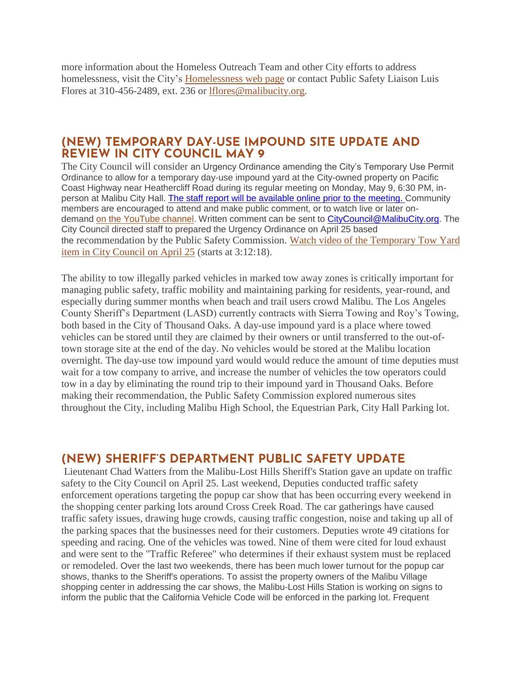more information about the Homeless Outreach Team and other City efforts to address homelessness, visit the City's [Homelessness web page](http://www.malibucity.org/homelessness) or contact Public Safety Liaison Luis Flores at 310-456-2489, ext. 236 or [lflores@malibucity.org.](mailto:lflores@malibucity.org)

#### **(NEW) TEMPORARY DAY-USE IMPOUND SITE UPDATE AND REVIEW IN CITY COUNCIL MAY 9**

The City Council will consider an Urgency Ordinance amending the City's Temporary Use Permit Ordinance to allow for a temporary day-use impound yard at the City-owned property on Pacific Coast Highway near Heathercliff Road during its regular meeting on Monday, May 9, 6:30 PM, inperson at Malibu City Hall. [The staff report will be available online prior to the meeting.](https://www.malibucity.org/agendacenter) Community members are encouraged to attend and make public comment, or to watch live or later ondemand [on the YouTube channel.](https://www.youtube.com/user/CityofMalibu/videos) Written comment can be sent to [CityCouncil@MalibuCity.org.](mailto:CityCouncil@MalibuCity.org) The City Council directed staff to prepared the Urgency Ordinance on April 25 based the recommendation by the Public Safety Commission. [Watch video of the Temporary Tow Yard](https://youtu.be/OBk4H0_NXJw?t=11538)  [item in City Council on April 25](https://youtu.be/OBk4H0_NXJw?t=11538) (starts at 3:12:18).

The ability to tow illegally parked vehicles in marked tow away zones is critically important for managing public safety, traffic mobility and maintaining parking for residents, year-round, and especially during summer months when beach and trail users crowd Malibu. The Los Angeles County Sheriff's Department (LASD) currently contracts with Sierra Towing and Roy's Towing, both based in the City of Thousand Oaks. A day-use impound yard is a place where towed vehicles can be stored until they are claimed by their owners or until transferred to the out-oftown storage site at the end of the day. No vehicles would be stored at the Malibu location overnight. The day-use tow impound yard would would reduce the amount of time deputies must wait for a tow company to arrive, and increase the number of vehicles the tow operators could tow in a day by eliminating the round trip to their impound yard in Thousand Oaks. Before making their recommendation, the Public Safety Commission explored numerous sites throughout the City, including Malibu High School, the Equestrian Park, City Hall Parking lot.

#### **(NEW) SHERIFF'S DEPARTMENT PUBLIC SAFETY UPDATE**

Lieutenant Chad Watters from the Malibu-Lost Hills Sheriff's Station gave an update on traffic safety to the City Council on April 25. Last weekend, Deputies conducted traffic safety enforcement operations targeting the popup car show that has been occurring every weekend in the shopping center parking lots around Cross Creek Road. The car gatherings have caused traffic safety issues, drawing huge crowds, causing traffic congestion, noise and taking up all of the parking spaces that the businesses need for their customers. Deputies wrote 49 citations for speeding and racing. One of the vehicles was towed. Nine of them were cited for loud exhaust and were sent to the "Traffic Referee" who determines if their exhaust system must be replaced or remodeled. Over the last two weekends, there has been much lower turnout for the popup car shows, thanks to the Sheriff's operations. To assist the property owners of the Malibu Village shopping center in addressing the car shows, the Malibu-Lost Hills Station is working on signs to inform the public that the California Vehicle Code will be enforced in the parking lot. Frequent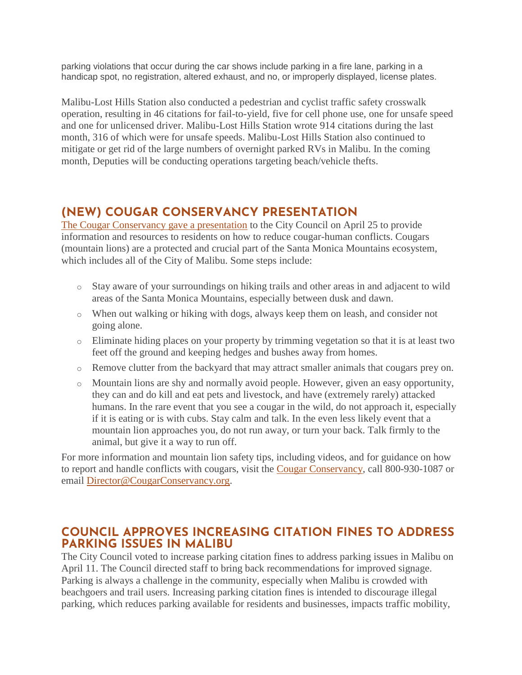parking violations that occur during the car shows include parking in a fire lane, parking in a handicap spot, no registration, altered exhaust, and no, or improperly displayed, license plates.

Malibu-Lost Hills Station also conducted a pedestrian and cyclist traffic safety crosswalk operation, resulting in 46 citations for fail-to-yield, five for cell phone use, one for unsafe speed and one for unlicensed driver. Malibu-Lost Hills Station wrote 914 citations during the last month, 316 of which were for unsafe speeds. Malibu-Lost Hills Station also continued to mitigate or get rid of the large numbers of overnight parked RVs in Malibu. In the coming month, Deputies will be conducting operations targeting beach/vehicle thefts.

# **(NEW) COUGAR CONSERVANCY PRESENTATION**

[The Cougar Conservancy gave a presentation](https://www.malibucity.org/DocumentCenter/View/29709/Cougar-Conservancy-Slidedeck) to the City Council on April 25 to provide information and resources to residents on how to reduce cougar-human conflicts. Cougars (mountain lions) are a protected and crucial part of the Santa Monica Mountains ecosystem, which includes all of the City of Malibu. Some steps include:

- o Stay aware of your surroundings on hiking trails and other areas in and adjacent to wild areas of the Santa Monica Mountains, especially between dusk and dawn.
- o When out walking or hiking with dogs, always keep them on leash, and consider not going alone.
- o Eliminate hiding places on your property by trimming vegetation so that it is at least two feet off the ground and keeping hedges and bushes away from homes.
- o Remove clutter from the backyard that may attract smaller animals that cougars prey on.
- o Mountain lions are shy and normally avoid people. However, given an easy opportunity, they can and do kill and eat pets and livestock, and have (extremely rarely) attacked humans. In the rare event that you see a cougar in the wild, do not approach it, especially if it is eating or is with cubs. Stay calm and talk. In the even less likely event that a mountain lion approaches you, do not run away, or turn your back. Talk firmly to the animal, but give it a way to run off.

For more information and mountain lion safety tips, including videos, and for guidance on how to report and handle conflicts with cougars, visit the [Cougar Conservancy,](https://cougarconservancy.org/safety-tips) call 800-930-1087 or email [Director@CougarConservancy.org.](mailto:Director@CougarConservancy.org)

## **COUNCIL APPROVES INCREASING CITATION FINES TO ADDRESS PARKING ISSUES IN MALIBU**

The City Council voted to increase parking citation fines to address parking issues in Malibu on April 11. The Council directed staff to bring back recommendations for improved signage. Parking is always a challenge in the community, especially when Malibu is crowded with beachgoers and trail users. Increasing parking citation fines is intended to discourage illegal parking, which reduces parking available for residents and businesses, impacts traffic mobility,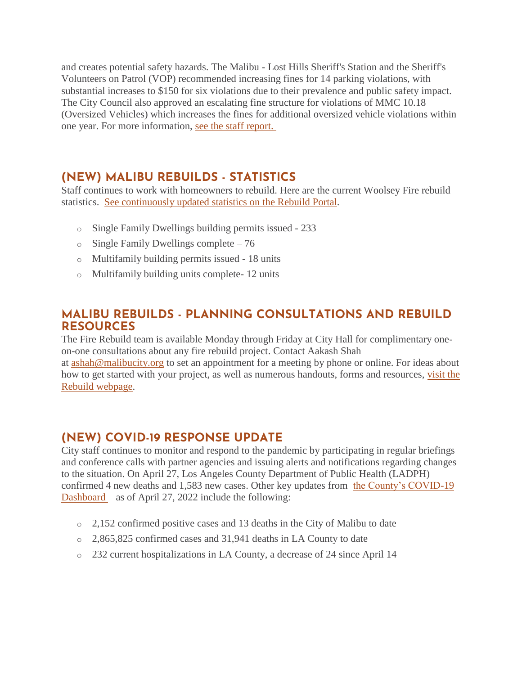and creates potential safety hazards. The Malibu - Lost Hills Sheriff's Station and the Sheriff's Volunteers on Patrol (VOP) recommended increasing fines for 14 parking violations, with substantial increases to \$150 for six violations due to their prevalence and public safety impact. The City Council also approved an escalating fine structure for violations of MMC 10.18 (Oversized Vehicles) which increases the fines for additional oversized vehicle violations within one year. For more information, [see the staff report.](https://www.malibucity.org/AgendaCenter/ViewFile/Item/5496?fileID=29048)

## **(NEW) MALIBU REBUILDS - STATISTICS**

Staff continues to work with homeowners to rebuild. Here are the current Woolsey Fire rebuild statistics. [See continuously updated statistics on the Rebuild Portal.](https://malibupermits.ci.malibu.ca.us/WoolseyRebuildStats.aspx?returnId=901)

- o Single Family Dwellings building permits issued 233
- o Single Family Dwellings complete 76
- o Multifamily building permits issued 18 units
- o Multifamily building units complete- 12 units

## **MALIBU REBUILDS - PLANNING CONSULTATIONS AND REBUILD RESOURCES**

The Fire Rebuild team is available Monday through Friday at City Hall for complimentary oneon-one consultations about any fire rebuild project. Contact Aakash Shah

at [ashah@malibucity.org](mailto:ashah@malibucity.org) to set an appointment for a meeting by phone or online. For ideas about how to get started with your project, as well as numerous handouts, forms and resources, [visit the](https://www.malibucity.org/901/Malibu-Rebuilds)  [Rebuild webpage.](https://www.malibucity.org/901/Malibu-Rebuilds)

## **(NEW) COVID-19 RESPONSE UPDATE**

City staff continues to monitor and respond to the pandemic by participating in regular briefings and conference calls with partner agencies and issuing alerts and notifications regarding changes to the situation. On April 27, Los Angeles County Department of Public Health (LADPH) confirmed 4 new deaths and 1,583 new cases. Other key updates from [the County's COVID-19](http://publichealth.lacounty.gov/media/coronavirus/data/index.htm)  [Dashboard](http://publichealth.lacounty.gov/media/coronavirus/data/index.htm) as of April 27, 2022 include the following:

- o 2,152 confirmed positive cases and 13 deaths in the City of Malibu to date
- o 2,865,825 confirmed cases and 31,941 deaths in LA County to date
- o 232 current hospitalizations in LA County, a decrease of 24 since April 14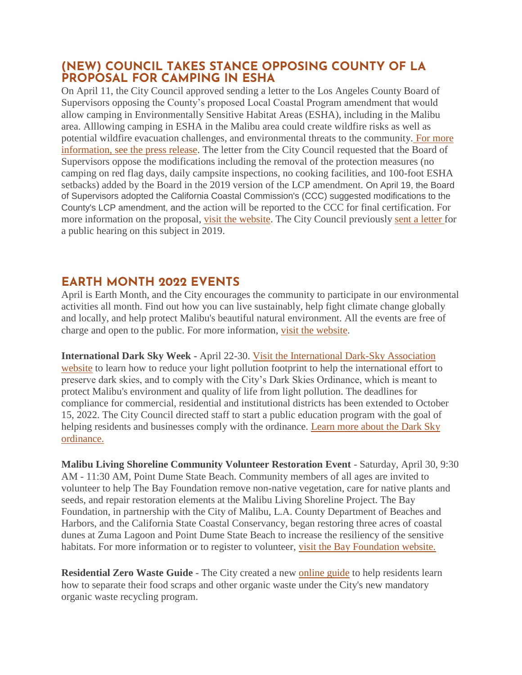### **(NEW) COUNCIL TAKES STANCE OPPOSING COUNTY OF LA PROPOSAL FOR CAMPING IN ESHA**

On April 11, the City Council approved sending a letter to the Los Angeles County Board of Supervisors opposing the County's proposed Local Coastal Program amendment that would allow camping in Environmentally Sensitive Habitat Areas (ESHA), including in the Malibu area. Alllowing camping in ESHA in the Malibu area could create wildfire risks as well as potential wildfire evacuation challenges, and environmental threats to the community. [For more](https://www.malibucity.org/DocumentCenter/View/29710/Council_Letter_BOS_Oppose_Camping_ESHA_PressRelease_4-18-2022)  [information, see the press release.](https://www.malibucity.org/DocumentCenter/View/29710/Council_Letter_BOS_Oppose_Camping_ESHA_PressRelease_4-18-2022) The letter from the City Council requested that the Board of Supervisors oppose the modifications including the removal of the protection measures (no camping on red flag days, daily campsite inspections, no cooking facilities, and 100-foot ESHA setbacks) added by the Board in the 2019 version of the LCP amendment. On April 19, the Board of Supervisors adopted the California Coastal Commission's (CCC) suggested modifications to the County's LCP amendment, and the action will be reported to the CCC for final certification. For more information on the proposal, [visit the website.](https://www.coastal.ca.gov/meetings/agenda/#/2021/7) The City Council previously [sent a letter](https://www.malibucity.org/DocumentCenter/View/29596/LACoBOS_LCP-Amendment-Camping-in-ESHA_190522-signed) for a public hearing on this subject in 2019.

## **EARTH MONTH 2022 EVENTS**

April is Earth Month, and the City encourages the community to participate in our environmental activities all month. Find out how you can live sustainably, help fight climate change globally and locally, and help protect Malibu's beautiful natural environment. All the events are free of charge and open to the public. For more information, [visit the website.](http://www.malibucity.org/EarthMonth)

**International Dark Sky Week -** April 22-30. [Visit the International Dark-Sky Association](https://idsw.darksky.org/)  [website](https://idsw.darksky.org/) to learn how to reduce your light pollution footprint to help the international effort to preserve dark skies, and to comply with the City's Dark Skies Ordinance, which is meant to protect Malibu's environment and quality of life from light pollution. The deadlines for compliance for commercial, residential and institutional districts has been extended to October 15, 2022. The City Council directed staff to start a public education program with the goal of helping residents and businesses comply with the ordinance. [Learn more about the Dark Sky](https://www.malibucity.org/darksky)  [ordinance.](https://www.malibucity.org/darksky) 

**Malibu Living Shoreline Community Volunteer Restoration Event** - Saturday, April 30, 9:30 AM - 11:30 AM, Point Dume State Beach. Community members of all ages are invited to volunteer to help The Bay Foundation remove non-native vegetation, care for native plants and seeds, and repair restoration elements at the Malibu Living Shoreline Project. The Bay Foundation, in partnership with the City of Malibu, L.A. County Department of Beaches and Harbors, and the California State Coastal Conservancy, began restoring three acres of coastal dunes at Zuma Lagoon and Point Dume State Beach to increase the resiliency of the sensitive habitats. For more information or to register to volunteer, [visit the Bay Foundation website.](http://www.malibucity.org/DuneRestorationVolunteer)

**Residential Zero Waste Guide** - The City created a new [online guide](http://www.malibucity.org/homezerowasteguide) to help residents learn how to separate their food scraps and other organic waste under the City's new mandatory organic waste recycling program.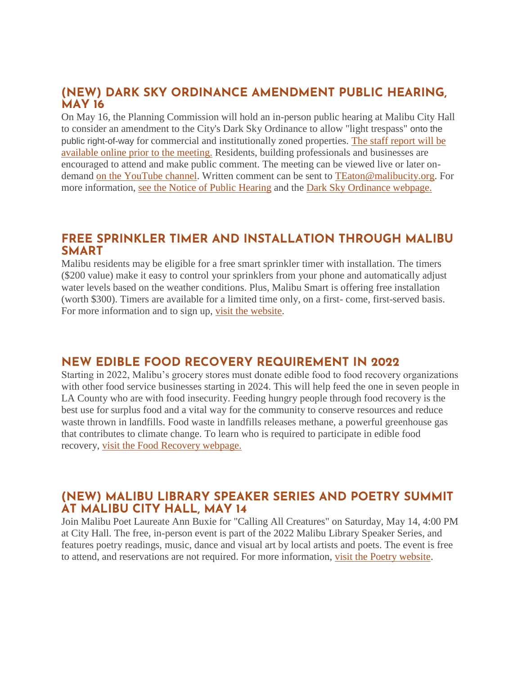#### **(NEW) DARK SKY ORDINANCE AMENDMENT PUBLIC HEARING, MAY 16**

On May 16, the Planning Commission will hold an in-person public hearing at Malibu City Hall to consider an amendment to the City's Dark Sky Ordinance to allow "light trespass" onto the public right-of-way for commercial and institutionally zoned properties. [The staff report will be](https://www.malibucity.org/agendacenter)  [available online prior to the meeting.](https://www.malibucity.org/agendacenter) Residents, building professionals and businesses are encouraged to attend and make public comment. The meeting can be viewed live or later ondemand [on the YouTube channel.](https://www.youtube.com/user/CityofMalibu/videos) Written comment can be sent to [TEaton@malibucity.org.](mailto:TEaton@malibucity.org) For more information, [see the Notice of Public Hearing](https://malibucity.org/DocumentCenter/View/29678/PHN_Dark-Sky-Ordinance) and the [Dark Sky Ordinance webpage.](https://www.malibucity.org/darksky)

#### **FREE SPRINKLER TIMER AND INSTALLATION THROUGH MALIBU SMART**

Malibu residents may be eligible for a free smart sprinkler timer with installation. The timers (\$200 value) make it easy to control your sprinklers from your phone and automatically adjust water levels based on the weather conditions. Plus, Malibu Smart is offering free installation (worth \$300). Timers are available for a limited time only, on a first- come, first-served basis. For more information and to sign up, [visit the website.](https://1num06zo47s.typeform.com/to/TA28QGIC)

## **NEW EDIBLE FOOD RECOVERY REQUIREMENT IN 2022**

Starting in 2022, Malibu's grocery stores must donate edible food to food recovery organizations with other food service businesses starting in 2024. This will help feed the one in seven people in LA County who are with food insecurity. Feeding hungry people through food recovery is the best use for surplus food and a vital way for the community to conserve resources and reduce waste thrown in landfills. Food waste in landfills releases methane, a powerful greenhouse gas that contributes to climate change. To learn who is required to participate in edible food recovery, [visit the Food Recovery webpage.](http://www.malibucity.org/Food-Recovery)

### **(NEW) MALIBU LIBRARY SPEAKER SERIES AND POETRY SUMMIT AT MALIBU CITY HALL, MAY 14**

Join Malibu Poet Laureate Ann Buxie for "Calling All Creatures" on Saturday, May 14, 4:00 PM at City Hall. The free, in-person event is part of the 2022 Malibu Library Speaker Series, and features poetry readings, music, dance and visual art by local artists and poets. The event is free to attend, and reservations are not required. For more information, [visit the Poetry website.](https://www.malibucity.org/poetry)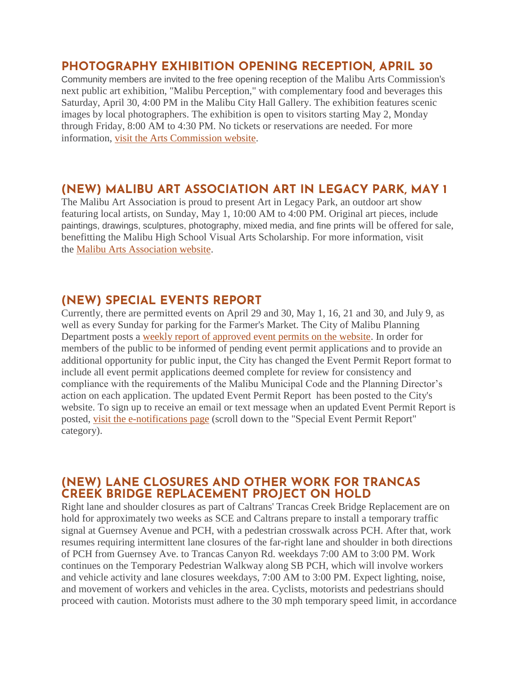## **PHOTOGRAPHY EXHIBITION OPENING RECEPTION, APRIL 30**

Community members are invited to the free opening reception of the Malibu Arts Commission's next public art exhibition, "Malibu Perception," with complementary food and beverages this Saturday, April 30, 4:00 PM in the Malibu City Hall Gallery. The exhibition features scenic images by local photographers. The exhibition is open to visitors starting May 2, Monday through Friday, 8:00 AM to 4:30 PM. No tickets or reservations are needed. For more information, [visit the Arts Commission website.](https://malibuartsandculture.org/)

## **(NEW) MALIBU ART ASSOCIATION ART IN LEGACY PARK, MAY 1**

The Malibu Art Association is proud to present Art in Legacy Park, an outdoor art show featuring local artists, on Sunday, May 1, 10:00 AM to 4:00 PM. Original art pieces, include paintings, drawings, sculptures, photography, mixed media, and fine prints will be offered for sale, benefitting the Malibu High School Visual Arts Scholarship. For more information, visit the [Malibu Arts Association website.](https://malibuartassociation.com/)

## **(NEW) SPECIAL EVENTS REPORT**

Currently, there are permitted events on April 29 and 30, May 1, 16, 21 and 30, and July 9, as well as every Sunday for parking for the Farmer's Market. The City of Malibu Planning Department posts a [weekly report of approved event permits on the website.](https://www.malibucity.org/DocumentCenter/View/24661/Permitted-Events) In order for members of the public to be informed of pending event permit applications and to provide an additional opportunity for public input, the City has changed the Event Permit Report format to include all event permit applications deemed complete for review for consistency and compliance with the requirements of the Malibu Municipal Code and the Planning Director's action on each application. The updated Event Permit Report has been posted to the City's website. To sign up to receive an email or text message when an updated Event Permit Report is posted, [visit the e-notifications page](https://www.malibucity.org/news) (scroll down to the "Special Event Permit Report" category).

## **(NEW) LANE CLOSURES AND OTHER WORK FOR TRANCAS CREEK BRIDGE REPLACEMENT PROJECT ON HOLD**

Right lane and shoulder closures as part of Caltrans' Trancas Creek Bridge Replacement are on hold for approximately two weeks as SCE and Caltrans prepare to install a temporary traffic signal at Guernsey Avenue and PCH, with a pedestrian crosswalk across PCH. After that, work resumes requiring intermittent lane closures of the far-right lane and shoulder in both directions of PCH from Guernsey Ave. to Trancas Canyon Rd. weekdays 7:00 AM to 3:00 PM. Work continues on the Temporary Pedestrian Walkway along SB PCH, which will involve workers and vehicle activity and lane closures weekdays, 7:00 AM to 3:00 PM. Expect lighting, noise, and movement of workers and vehicles in the area. Cyclists, motorists and pedestrians should proceed with caution. Motorists must adhere to the 30 mph temporary speed limit, in accordance